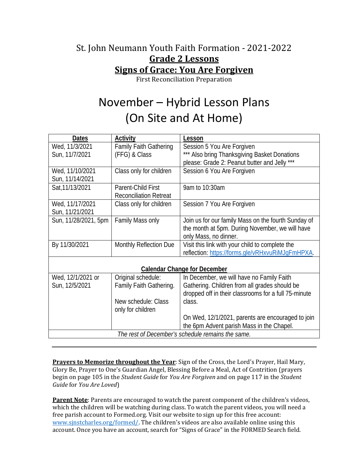## St. John Neumann Youth Faith Formation - 2021-2022 **Grade 2 Lessons Signs of Grace: You Are Forgiven**

First Reconciliation Preparation

# November – Hybrid Lesson Plans (On Site and At Home)

| <b>Dates</b>                                      | <b>Activity</b>               | Lesson                                               |
|---------------------------------------------------|-------------------------------|------------------------------------------------------|
| Wed, 11/3/2021                                    | <b>Family Faith Gathering</b> | Session 5 You Are Forgiven                           |
| Sun, 11/7/2021                                    | (FFG) & Class                 | *** Also bring Thanksgiving Basket Donations         |
|                                                   |                               | please: Grade 2: Peanut butter and Jelly ***         |
| Wed, 11/10/2021                                   | Class only for children       | Session 6 You Are Forgiven                           |
| Sun, 11/14/2021                                   |                               |                                                      |
| Sat, 11/13/2021                                   | Parent-Child First            | 9am to 10:30am                                       |
|                                                   | <b>Reconciliation Retreat</b> |                                                      |
| Wed, 11/17/2021                                   | Class only for children       | Session 7 You Are Forgiven                           |
| Sun, 11/21/2021                                   |                               |                                                      |
| Sun, 11/28/2021, 5pm                              | Family Mass only              | Join us for our family Mass on the fourth Sunday of  |
|                                                   |                               | the month at 5pm. During November, we will have      |
|                                                   |                               | only Mass, no dinner.                                |
| By 11/30/2021                                     | Monthly Reflection Due        | Visit this link with your child to complete the      |
|                                                   |                               | reflection: https://forms.gle/vRHxvuRiMJqFmHPXA.     |
|                                                   |                               |                                                      |
| <b>Calendar Change for December</b>               |                               |                                                      |
| Wed, 12/1/2021 or                                 | Original schedule:            | In December, we will have no Family Faith            |
| Sun, 12/5/2021                                    | Family Faith Gathering.       | Gathering. Children from all grades should be        |
|                                                   |                               | dropped off in their classrooms for a full 75-minute |
|                                                   | New schedule: Class           | class.                                               |
|                                                   | only for children             |                                                      |
|                                                   |                               | On Wed, 12/1/2021, parents are encouraged to join    |
|                                                   |                               | the 6pm Advent parish Mass in the Chapel.            |
| The rest of December's schedule remains the same. |                               |                                                      |

**Prayers to Memorize throughout the Year**: Sign of the Cross, the Lord's Prayer, Hail Mary, Glory Be, Prayer to One's Guardian Angel, Blessing Before a Meal, Act of Contrition (prayers begin on page 105 in the *Student Guide* for *You Are Forgiven* and on page 117 in the *Student Guide* for *You Are Loved*)

**Parent Note**: Parents are encouraged to watch the parent component of the children's videos, which the children will be watching during class. To watch the parent videos, you will need a free parish account to Formed.org. Visit our website to sign up for this free account: www.sjnstcharles.org/formed/. The children's videos are also available online using this account. Once you have an account, search for "Signs of Grace" in the FORMED Search field.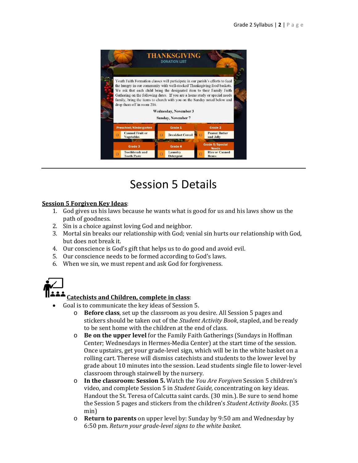

## Session 5 Details

#### **Session 5 Forgiven Key Ideas**:

- 1. God gives us his laws because he wants what is good for us and his laws show us the path of goodness.
- 2. Sin is a choice against loving God and neighbor.
- 3. Mortal sin breaks our relationship with God; venial sin hurts our relationship with God, but does not break it.
- 4. Our conscience is God's gift that helps us to do good and avoid evil.
- 5. Our conscience needs to be formed according to God's laws.
- 6. When we sin, we must repent and ask God for forgiveness.



### **Catechists and Children, complete in class**:

- Goal is to communicate the key ideas of Session 5.
	- o **Before class**, set up the classroom as you desire. All Session 5 pages and stickers should be taken out of the *Student Activity Book*, stapled, and be ready to be sent home with the children at the end of class.
	- o **Be on the upper level** for the Family Faith Gatherings (Sundays in Hoffman Center; Wednesdays in Hermes-Media Center) at the start time of the session. Once upstairs, get your grade-level sign, which will be in the white basket on a rolling cart. Therese will dismiss catechists and students to the lower level by grade about 10 minutes into the session. Lead students single file to lower-level classroom through stairwell by the nursery.
	- o **In the classroom: Session 5.** Watch the *You Are Forgiven* Session 5 children's video, and complete Session 5 in *Student Guide,* concentrating on key ideas. Handout the St. Teresa of Calcutta saint cards. (30 min.). Be sure to send home the Session 5 pages and stickers from the children's *Student Activity Books*. (35 min)
	- o **Return to parents** on upper level by: Sunday by 9:50 am and Wednesday by 6:50 pm. *Return your grade‐level signs to the white basket.*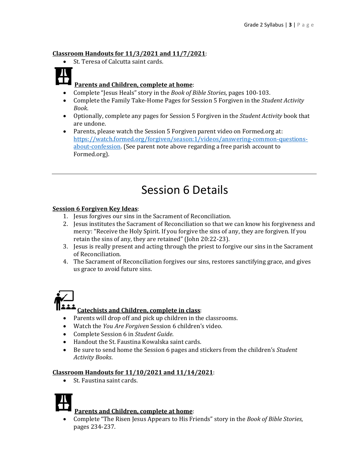## **Classroom Handouts for 11/3/2021 and 11/7/2021**:

St. Teresa of Calcutta saint cards.



## **Parents and Children, complete at home**:

- Complete "Jesus Heals" story in the *Book of Bible Stories*, pages 100-103.
- Complete the Family Take-Home Pages for Session 5 Forgiven in the *Student Activity Book*.
- Optionally, complete any pages for Session 5 Forgiven in the *Student Activity* book that are undone.
- Parents, please watch the Session 5 Forgiven parent video on Formed.org at: https://watch.formed.org/forgiven/season:1/videos/answering-common-questionsabout-confession. (See parent note above regarding a free parish account to Formed.org).

## Session 6 Details

### **Session 6 Forgiven Key Ideas**:

- 1. Jesus forgives our sins in the Sacrament of Reconciliation.
- 2. Jesus institutes the Sacrament of Reconciliation so that we can know his forgiveness and mercy: "Receive the Holy Spirit. If you forgive the sins of any, they are forgiven. If you retain the sins of any, they are retained" (John 20:22-23).
- 3. Jesus is really present and acting through the priest to forgive our sins in the Sacrament of Reconciliation.
- 4. The Sacrament of Reconciliation forgives our sins, restores sanctifying grace, and gives us grace to avoid future sins.



## **Catechists and Children, complete in class**:

- Parents will drop off and pick up children in the classrooms.
- Watch the *You Are Forgiven* Session 6 children's video.
- Complete Session 6 in *Student Guide*.
- Handout the St. Faustina Kowalska saint cards.
- Be sure to send home the Session 6 pages and stickers from the children's *Student Activity Books*.

#### **Classroom Handouts for 11/10/2021 and 11/14/2021**:

• St. Faustina saint cards.



## **Parents and Children, complete at home**:

 Complete "The Risen Jesus Appears to His Friends" story in the *Book of Bible Stories*, pages 234-237.